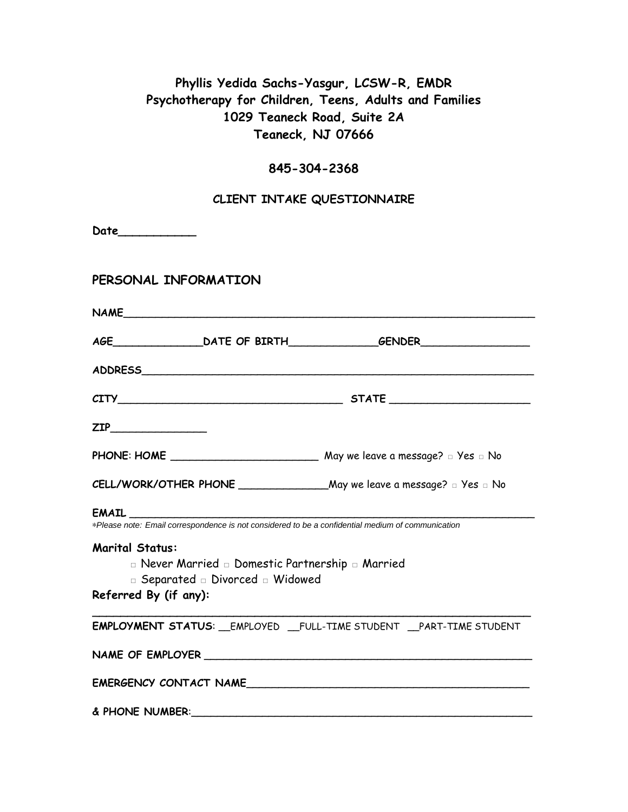# **Phyllis Yedida Sachs-Yasgur, LCSW-R, EMDR Psychotherapy for Children, Teens, Adults and Families 1029 Teaneck Road, Suite 2A Teaneck, NJ 07666**

#### **845-304-2368**

### **CLIENT INTAKE QUESTIONNAIRE**

| Date_____________      |                                                  |                                                                                                   |
|------------------------|--------------------------------------------------|---------------------------------------------------------------------------------------------------|
| PERSONAL INFORMATION   |                                                  |                                                                                                   |
|                        |                                                  |                                                                                                   |
|                        |                                                  |                                                                                                   |
|                        |                                                  |                                                                                                   |
|                        |                                                  |                                                                                                   |
|                        |                                                  |                                                                                                   |
|                        |                                                  |                                                                                                   |
|                        |                                                  |                                                                                                   |
|                        | <b>EMAIL EMAIL</b>                               | *Please note: Email correspondence is not considered to be a confidential medium of communication |
| <b>Marital Status:</b> |                                                  |                                                                                                   |
|                        | □ Never Married □ Domestic Partnership □ Married |                                                                                                   |
|                        | D Separated Divorced D Widowed                   |                                                                                                   |
| Referred By (if any):  |                                                  |                                                                                                   |
|                        |                                                  | EMPLOYMENT STATUS: __EMPLOYED __FULL-TIME STUDENT __PART-TIME STUDENT                             |
|                        |                                                  |                                                                                                   |
|                        |                                                  | EMERGENCY CONTACT NAME                                                                            |
| & PHONE NUMBER:        |                                                  |                                                                                                   |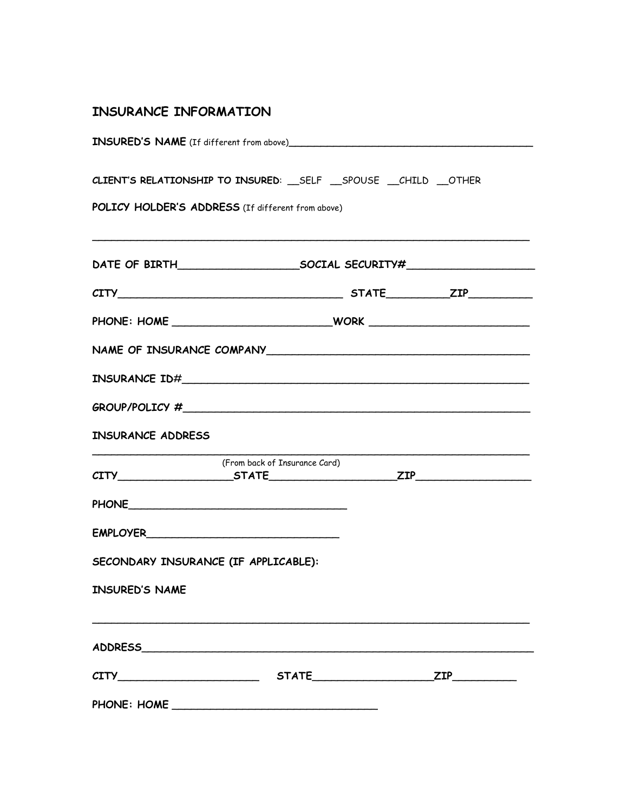## **INSURANCE INFORMATION**

| INSURED'S NAME (If different from above)          |                                                                       |  |
|---------------------------------------------------|-----------------------------------------------------------------------|--|
| POLICY HOLDER'S ADDRESS (If different from above) | CLIENT'S RELATIONSHIP TO INSURED: __ SELF __ SPOUSE __ CHILD __ OTHER |  |
|                                                   |                                                                       |  |
|                                                   | $CITY$ STATE $ZIP$                                                    |  |
|                                                   |                                                                       |  |
|                                                   |                                                                       |  |
|                                                   |                                                                       |  |
|                                                   |                                                                       |  |
| INSURANCE ADDRESS                                 |                                                                       |  |
|                                                   | (From back of Insurance Card)<br>$CITY$ $STATE$ $ZIP$                 |  |
|                                                   |                                                                       |  |
|                                                   |                                                                       |  |
| SECONDARY INSURANCE (IF APPLICABLE):              |                                                                       |  |
| <b>INSURED'S NAME</b>                             |                                                                       |  |
|                                                   |                                                                       |  |
|                                                   |                                                                       |  |
|                                                   |                                                                       |  |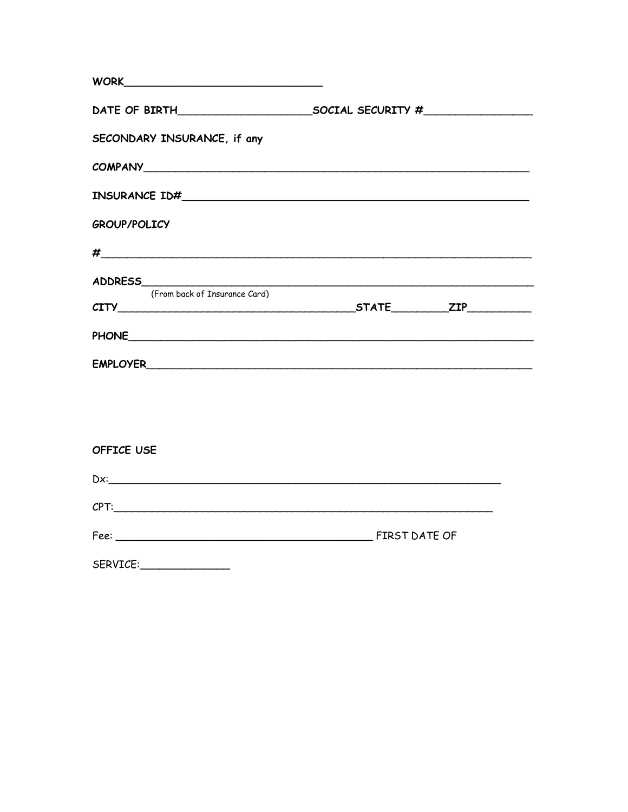| WORK                          |  |
|-------------------------------|--|
|                               |  |
| SECONDARY INSURANCE, if any   |  |
|                               |  |
|                               |  |
| <b>GROUP/POLICY</b>           |  |
|                               |  |
|                               |  |
| (From back of Insurance Card) |  |
|                               |  |
|                               |  |
|                               |  |
|                               |  |
| <b>OFFICE USE</b>             |  |
| $Dx$ :                        |  |
| CPT:                          |  |

| -<br>Fee: | FIRST DATE OF |  |
|-----------|---------------|--|
|           |               |  |

| SERVICE: |  |
|----------|--|
|          |  |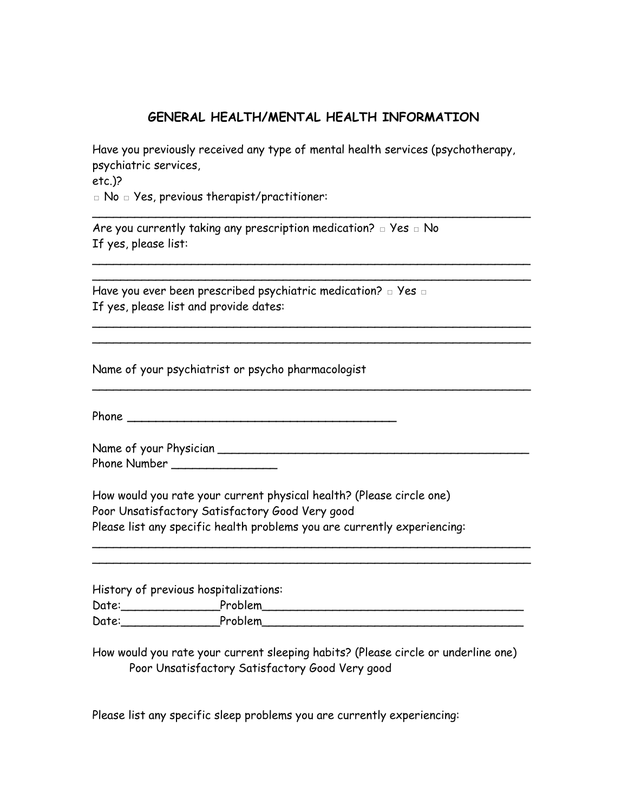### **GENERAL HEALTH/MENTAL HEALTH INFORMATION**

Have you previously received any type of mental health services (psychotherapy, psychiatric services, etc.)?

\_\_\_\_\_\_\_\_\_\_\_\_\_\_\_\_\_\_\_\_\_\_\_\_\_\_\_\_\_\_\_\_\_\_\_\_\_\_\_\_\_\_\_\_\_\_\_\_\_\_\_\_\_\_\_\_\_\_\_\_\_\_

\_\_\_\_\_\_\_\_\_\_\_\_\_\_\_\_\_\_\_\_\_\_\_\_\_\_\_\_\_\_\_\_\_\_\_\_\_\_\_\_\_\_\_\_\_\_\_\_\_\_\_\_\_\_\_\_\_\_\_\_\_\_ \_\_\_\_\_\_\_\_\_\_\_\_\_\_\_\_\_\_\_\_\_\_\_\_\_\_\_\_\_\_\_\_\_\_\_\_\_\_\_\_\_\_\_\_\_\_\_\_\_\_\_\_\_\_\_\_\_\_\_\_\_\_

\_\_\_\_\_\_\_\_\_\_\_\_\_\_\_\_\_\_\_\_\_\_\_\_\_\_\_\_\_\_\_\_\_\_\_\_\_\_\_\_\_\_\_\_\_\_\_\_\_\_\_\_\_\_\_\_\_\_\_\_\_\_ \_\_\_\_\_\_\_\_\_\_\_\_\_\_\_\_\_\_\_\_\_\_\_\_\_\_\_\_\_\_\_\_\_\_\_\_\_\_\_\_\_\_\_\_\_\_\_\_\_\_\_\_\_\_\_\_\_\_\_\_\_\_

\_\_\_\_\_\_\_\_\_\_\_\_\_\_\_\_\_\_\_\_\_\_\_\_\_\_\_\_\_\_\_\_\_\_\_\_\_\_\_\_\_\_\_\_\_\_\_\_\_\_\_\_\_\_\_\_\_\_\_\_\_\_

□ No □ Yes, previous therapist/practitioner:

Are you currently taking any prescription medication?  $□$  Yes  $□$  No If yes, please list:

Have you ever been prescribed psychiatric medication? □ Yes □ If yes, please list and provide dates:

Name of your psychiatrist or psycho pharmacologist

Phone **\_\_\_\_\_\_\_\_\_\_\_\_\_\_\_\_\_\_\_\_\_\_\_\_\_\_\_\_\_\_\_\_\_\_\_\_\_\_**

Name of your Physician **comparison** Phone Number \_\_\_\_\_\_\_\_\_\_\_\_\_\_\_\_

How would you rate your current physical health? (Please circle one) Poor Unsatisfactory Satisfactory Good Very good Please list any specific health problems you are currently experiencing:

History of previous hospitalizations: Date:\_\_\_\_\_\_\_\_\_\_\_\_\_\_Problem\_\_\_\_\_\_\_\_\_\_\_\_\_\_\_\_\_\_\_\_\_\_\_\_\_\_\_\_\_\_\_\_\_\_\_\_\_ Date:\_\_\_\_\_\_\_\_\_\_\_\_\_\_Problem\_\_\_\_\_\_\_\_\_\_\_\_\_\_\_\_\_\_\_\_\_\_\_\_\_\_\_\_\_\_\_\_\_\_\_\_\_

 $\mathcal{L}_\text{max}$  , and the set of the set of the set of the set of the set of the set of the set of the set of the set of the set of the set of the set of the set of the set of the set of the set of the set of the set of the \_\_\_\_\_\_\_\_\_\_\_\_\_\_\_\_\_\_\_\_\_\_\_\_\_\_\_\_\_\_\_\_\_\_\_\_\_\_\_\_\_\_\_\_\_\_\_\_\_\_\_\_\_\_\_\_\_\_\_\_\_\_

How would you rate your current sleeping habits? (Please circle or underline one) Poor Unsatisfactory Satisfactory Good Very good

Please list any specific sleep problems you are currently experiencing: